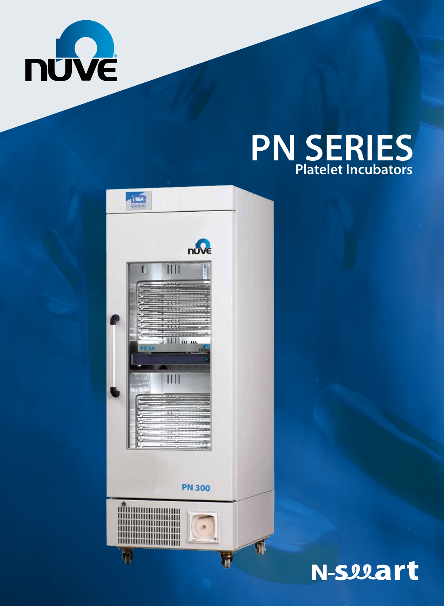

# **PN SERIES Platelet Incubators**



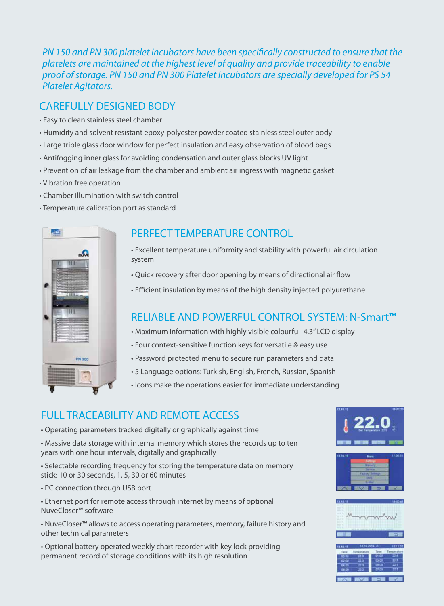*PN 150 and PN 300 platelet incubators have been specifically constructed to ensure that the platelets are maintained at the highest level of quality and provide traceability to enable proof of storage. PN 150 and PN 300 Platelet Incubators are specially developed for PS 54 Platelet Agitators.*

## CAREFULLY DESIGNED BODY

- Easy to clean stainless steel chamber
- Humidity and solvent resistant epoxy-polyester powder coated stainless steel outer body
- Large triple glass door window for perfect insulation and easy observation of blood bags
- Antifogging inner glass for avoiding condensation and outer glass blocks UV light
- Prevention of air leakage from the chamber and ambient air ingress with magnetic gasket
- Vibration free operation
- Chamber illumination with switch control
- Temperature calibration port as standard



### PERFECT TEMPERATURE CONTROL

- Excellent temperature uniformity and stability with powerful air circulation system
- Quick recovery after door opening by means of directional air flow
- Efficient insulation by means of the high density injected polyurethane

# RELIABLE AND POWERFUL CONTROL SYSTEM: N-Smart™

- Maximum information with highly visible colourful 4,3'' LCD display
- Four context-sensitive function keys for versatile & easy use
- Password protected menu to secure run parameters and data
- 5 Language options: Turkish, English, French, Russian, Spanish
- Icons make the operations easier for immediate understanding

# FULL TRACEABILITY AND REMOTE ACCESS

• Operating parameters tracked digitally or graphically against time

• Massive data storage with internal memory which stores the records up to ten years with one hour intervals, digitally and graphically

• Selectable recording frequency for storing the temperature data on memory stick: 10 or 30 seconds, 1, 5, 30 or 60 minutes

- PC connection through USB port
- Ethernet port for remote access through internet by means of optional NuveCloser™ software

• NuveCloser™ allows to access operating parameters, memory, failure history and other technical parameters

• Optional battery operated weekly chart recorder with key lock providing permanent record of storage conditions with its high resolution





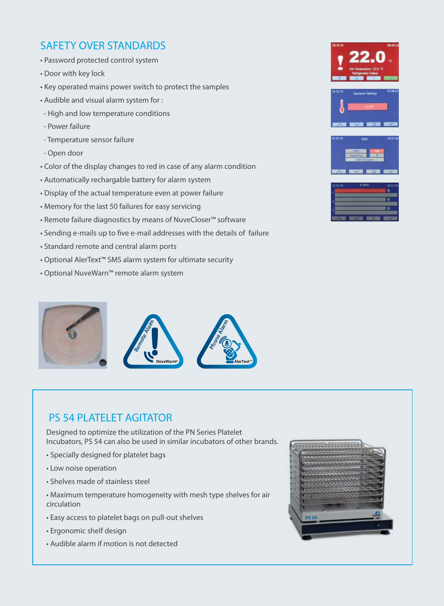## SAFETY OVER STANDARDS

- Password protected control system
- Door with key lock
- Key operated mains power switch to protect the samples
- Audible and visual alarm system for :
- High and low temperature conditions
- Power failure
- Temperature sensor failure
- Open door
- Color of the display changes to red in case of any alarm condition
- Automatically rechargable battery for alarm system
- Display of the actual temperature even at power failure
- Memory for the last 50 failures for easy servicing
- Remote failure diagnostics by means of NuveCloser™ software
- Sending e-mails up to five e-mail addresses with the details of failure
- Standard remote and central alarm ports
- Optional AlerText™ SMS alarm system for ultimate security
- Optional NuveWarn™ remote alarm system



### PS 54 PLATELET AGITATOR

Designed to optimize the utilization of the PN Series Platelet Incubators, PS 54 can also be used in similar incubators of other brands.

- Specially designed for platelet bags
- Low noise operation
- Shelves made of stainless steel
- Maximum temperature homogeneity with mesh type shelves for air circulation
- Easy access to platelet bags on pull-out shelves
- Ergonomic shelf design
- Audible alarm if motion is not detected